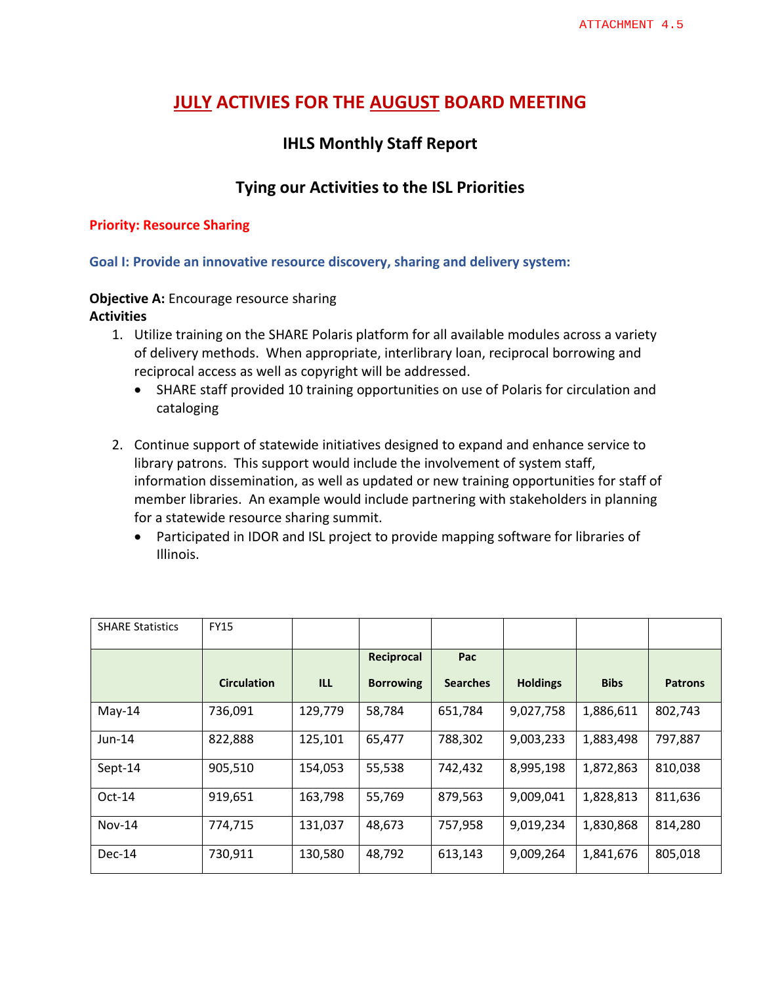# **JULY ACTIVIES FOR THE AUGUST BOARD MEETING**

## **IHLS Monthly Staff Report**

## **Tying our Activities to the ISL Priorities**

#### **Priority: Resource Sharing**

**Goal I: Provide an innovative resource discovery, sharing and delivery system:** 

#### **Objective A:** Encourage resource sharing **Activities**

- 1. Utilize training on the SHARE Polaris platform for all available modules across a variety of delivery methods. When appropriate, interlibrary loan, reciprocal borrowing and reciprocal access as well as copyright will be addressed.
	- SHARE staff provided 10 training opportunities on use of Polaris for circulation and cataloging
- 2. Continue support of statewide initiatives designed to expand and enhance service to library patrons. This support would include the involvement of system staff, information dissemination, as well as updated or new training opportunities for staff of member libraries. An example would include partnering with stakeholders in planning for a statewide resource sharing summit.
	- Participated in IDOR and ISL project to provide mapping software for libraries of Illinois.

| <b>SHARE Statistics</b> | <b>FY15</b>        |         |                  |                 |                 |             |                |
|-------------------------|--------------------|---------|------------------|-----------------|-----------------|-------------|----------------|
|                         |                    |         | Reciprocal       | Pac             |                 |             |                |
|                         | <b>Circulation</b> | ILL     | <b>Borrowing</b> | <b>Searches</b> | <b>Holdings</b> | <b>Bibs</b> | <b>Patrons</b> |
| May-14                  | 736,091            | 129,779 | 58,784           | 651,784         | 9,027,758       | 1,886,611   | 802,743        |
| $Jun-14$                | 822,888            | 125,101 | 65,477           | 788,302         | 9,003,233       | 1,883,498   | 797,887        |
| Sept-14                 | 905,510            | 154,053 | 55,538           | 742,432         | 8,995,198       | 1,872,863   | 810,038        |
| $Oct-14$                | 919,651            | 163,798 | 55,769           | 879,563         | 9,009,041       | 1,828,813   | 811,636        |
| $Nov-14$                | 774,715            | 131,037 | 48,673           | 757,958         | 9,019,234       | 1,830,868   | 814,280        |
| Dec-14                  | 730,911            | 130,580 | 48,792           | 613,143         | 9,009,264       | 1,841,676   | 805,018        |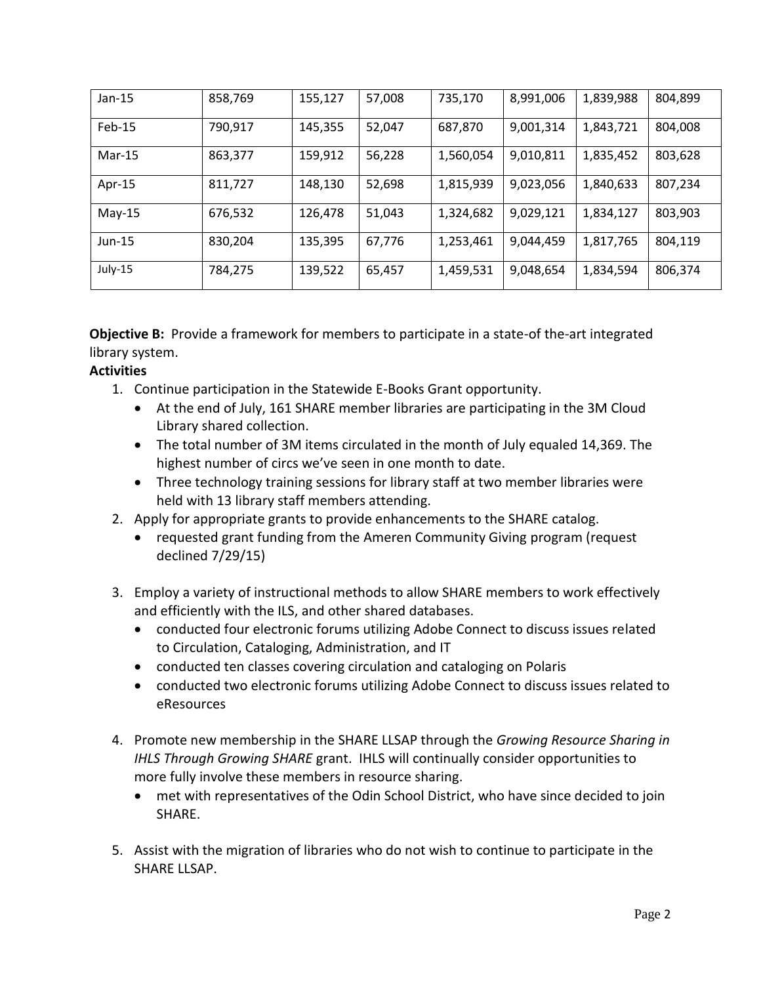| $Jan-15$ | 858,769 | 155,127 | 57,008 | 735,170   | 8,991,006 | 1,839,988 | 804,899 |
|----------|---------|---------|--------|-----------|-----------|-----------|---------|
| Feb-15   | 790,917 | 145,355 | 52,047 | 687,870   | 9,001,314 | 1,843,721 | 804,008 |
| $Mar-15$ | 863,377 | 159,912 | 56,228 | 1,560,054 | 9,010,811 | 1,835,452 | 803,628 |
| Apr-15   | 811,727 | 148,130 | 52,698 | 1,815,939 | 9,023,056 | 1,840,633 | 807,234 |
| $May-15$ | 676,532 | 126,478 | 51,043 | 1,324,682 | 9,029,121 | 1,834,127 | 803,903 |
| $Jun-15$ | 830,204 | 135,395 | 67,776 | 1,253,461 | 9,044,459 | 1,817,765 | 804,119 |
| July-15  | 784,275 | 139,522 | 65,457 | 1,459,531 | 9,048,654 | 1,834,594 | 806,374 |

**Objective B:** Provide a framework for members to participate in a state-of the-art integrated library system.

### **Activities**

- 1. Continue participation in the Statewide E-Books Grant opportunity.
	- At the end of July, 161 SHARE member libraries are participating in the 3M Cloud Library shared collection.
	- The total number of 3M items circulated in the month of July equaled 14,369. The highest number of circs we've seen in one month to date.
	- Three technology training sessions for library staff at two member libraries were held with 13 library staff members attending.
- 2. Apply for appropriate grants to provide enhancements to the SHARE catalog.
	- requested grant funding from the Ameren Community Giving program (request declined 7/29/15)
- 3. Employ a variety of instructional methods to allow SHARE members to work effectively and efficiently with the ILS, and other shared databases.
	- conducted four electronic forums utilizing Adobe Connect to discuss issues related to Circulation, Cataloging, Administration, and IT
	- conducted ten classes covering circulation and cataloging on Polaris
	- conducted two electronic forums utilizing Adobe Connect to discuss issues related to eResources
- 4. Promote new membership in the SHARE LLSAP through the *Growing Resource Sharing in IHLS Through Growing SHARE* grant. IHLS will continually consider opportunities to more fully involve these members in resource sharing.
	- met with representatives of the Odin School District, who have since decided to join SHARE.
- 5. Assist with the migration of libraries who do not wish to continue to participate in the SHARE LLSAP.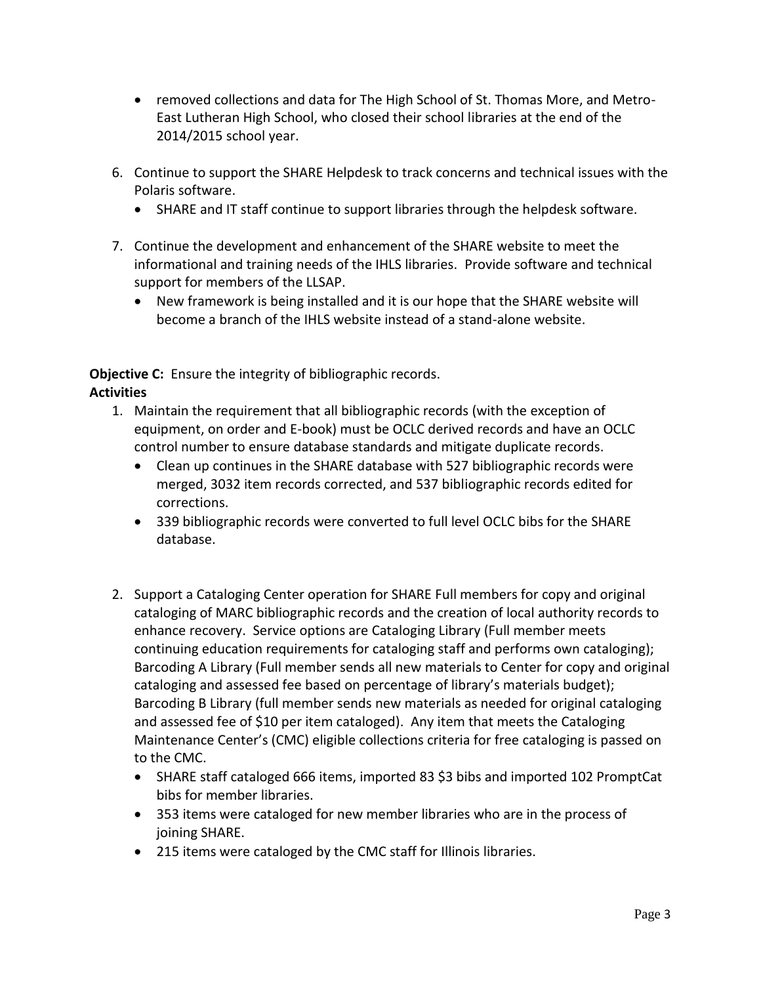- removed collections and data for The High School of St. Thomas More, and Metro-East Lutheran High School, who closed their school libraries at the end of the 2014/2015 school year.
- 6. Continue to support the SHARE Helpdesk to track concerns and technical issues with the Polaris software.
	- SHARE and IT staff continue to support libraries through the helpdesk software.
- 7. Continue the development and enhancement of the SHARE website to meet the informational and training needs of the IHLS libraries. Provide software and technical support for members of the LLSAP.
	- New framework is being installed and it is our hope that the SHARE website will become a branch of the IHLS website instead of a stand-alone website.

**Objective C:** Ensure the integrity of bibliographic records. **Activities**

- 1. Maintain the requirement that all bibliographic records (with the exception of equipment, on order and E-book) must be OCLC derived records and have an OCLC control number to ensure database standards and mitigate duplicate records.
	- Clean up continues in the SHARE database with 527 bibliographic records were merged, 3032 item records corrected, and 537 bibliographic records edited for corrections.
	- 339 bibliographic records were converted to full level OCLC bibs for the SHARE database.
- 2. Support a Cataloging Center operation for SHARE Full members for copy and original cataloging of MARC bibliographic records and the creation of local authority records to enhance recovery. Service options are Cataloging Library (Full member meets continuing education requirements for cataloging staff and performs own cataloging); Barcoding A Library (Full member sends all new materials to Center for copy and original cataloging and assessed fee based on percentage of library's materials budget); Barcoding B Library (full member sends new materials as needed for original cataloging and assessed fee of \$10 per item cataloged). Any item that meets the Cataloging Maintenance Center's (CMC) eligible collections criteria for free cataloging is passed on to the CMC.
	- SHARE staff cataloged 666 items, imported 83 \$3 bibs and imported 102 PromptCat bibs for member libraries.
	- 353 items were cataloged for new member libraries who are in the process of joining SHARE.
	- 215 items were cataloged by the CMC staff for Illinois libraries.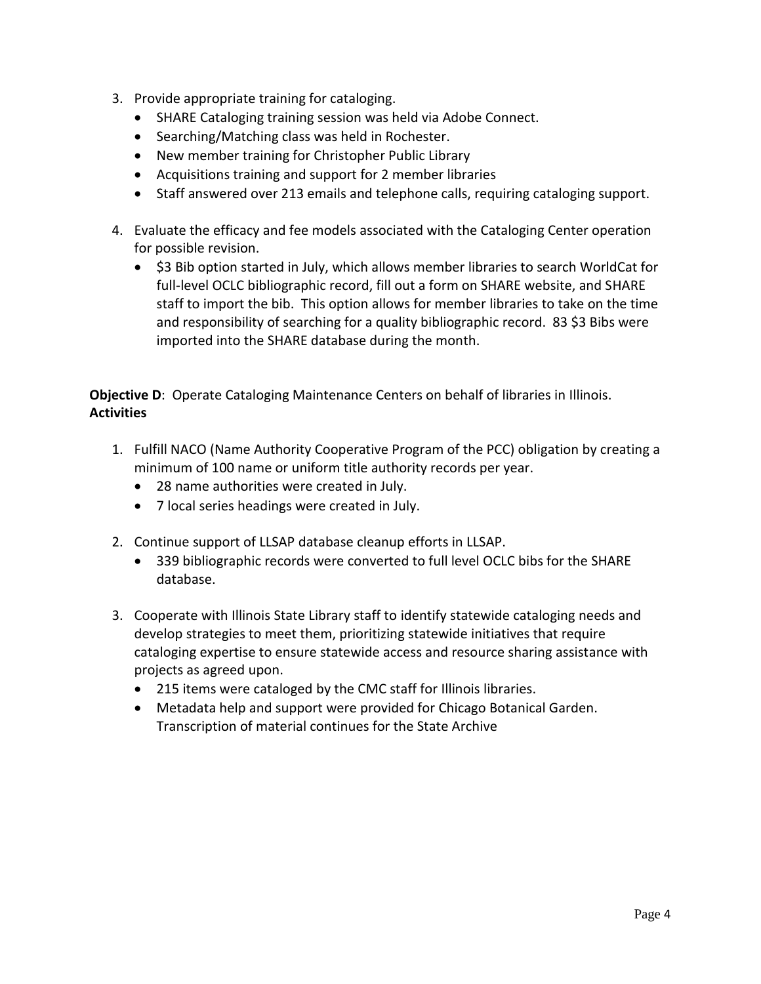- 3. Provide appropriate training for cataloging.
	- SHARE Cataloging training session was held via Adobe Connect.
	- Searching/Matching class was held in Rochester.
	- New member training for Christopher Public Library
	- Acquisitions training and support for 2 member libraries
	- Staff answered over 213 emails and telephone calls, requiring cataloging support.
- 4. Evaluate the efficacy and fee models associated with the Cataloging Center operation for possible revision.
	- \$3 Bib option started in July, which allows member libraries to search WorldCat for full-level OCLC bibliographic record, fill out a form on SHARE website, and SHARE staff to import the bib. This option allows for member libraries to take on the time and responsibility of searching for a quality bibliographic record. 83 \$3 Bibs were imported into the SHARE database during the month.

**Objective D**: Operate Cataloging Maintenance Centers on behalf of libraries in Illinois. **Activities**

- 1. Fulfill NACO (Name Authority Cooperative Program of the PCC) obligation by creating a minimum of 100 name or uniform title authority records per year.
	- 28 name authorities were created in July.
	- 7 local series headings were created in July.
- 2. Continue support of LLSAP database cleanup efforts in LLSAP.
	- 339 bibliographic records were converted to full level OCLC bibs for the SHARE database.
- 3. Cooperate with Illinois State Library staff to identify statewide cataloging needs and develop strategies to meet them, prioritizing statewide initiatives that require cataloging expertise to ensure statewide access and resource sharing assistance with projects as agreed upon.
	- 215 items were cataloged by the CMC staff for Illinois libraries.
	- Metadata help and support were provided for Chicago Botanical Garden. Transcription of material continues for the State Archive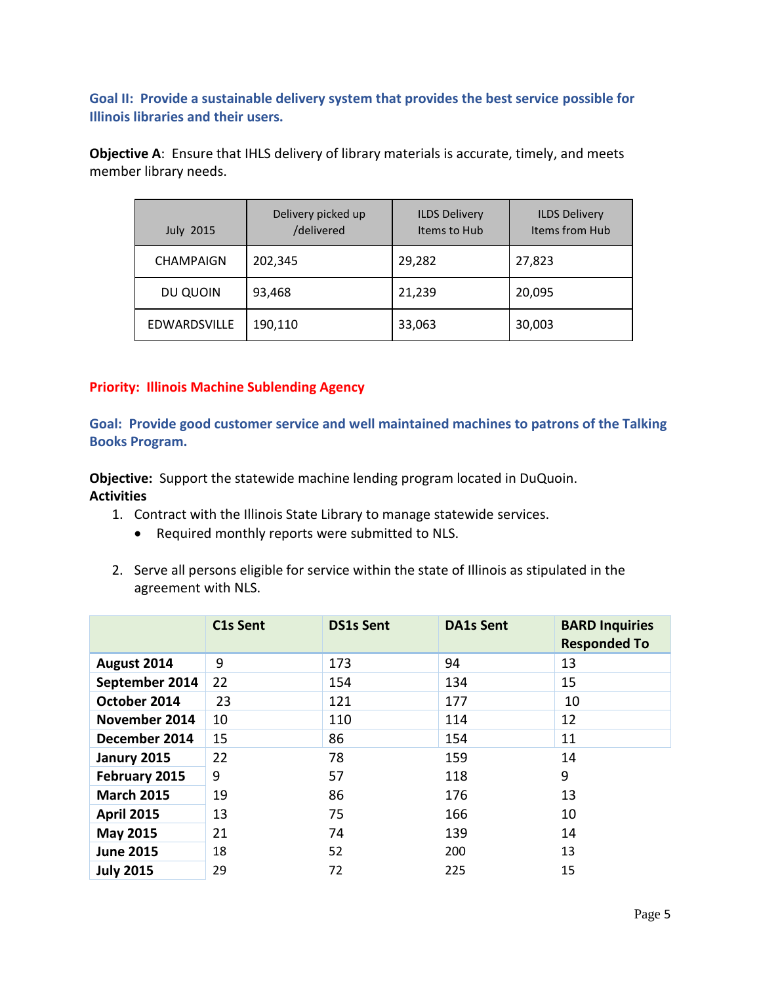**Goal II: Provide a sustainable delivery system that provides the best service possible for Illinois libraries and their users.**

**Objective A**: Ensure that IHLS delivery of library materials is accurate, timely, and meets member library needs.

| <b>July 2015</b> | Delivery picked up<br>/delivered | <b>ILDS Delivery</b><br>Items to Hub | <b>ILDS Delivery</b><br>Items from Hub |
|------------------|----------------------------------|--------------------------------------|----------------------------------------|
| <b>CHAMPAIGN</b> | 202,345                          | 29,282                               | 27,823                                 |
| DU QUOIN         | 93,468                           | 21,239                               | 20,095                                 |
| EDWARDSVILLE     | 190,110                          | 33,063                               | 30,003                                 |

#### **Priority: Illinois Machine Sublending Agency**

**Goal: Provide good customer service and well maintained machines to patrons of the Talking Books Program.**

**Objective:** Support the statewide machine lending program located in DuQuoin. **Activities**

- 1. Contract with the Illinois State Library to manage statewide services.
	- Required monthly reports were submitted to NLS.
- 2. Serve all persons eligible for service within the state of Illinois as stipulated in the agreement with NLS.

|                   | C1s Sent | <b>DS1s Sent</b> | <b>DA1s Sent</b> | <b>BARD Inquiries</b><br><b>Responded To</b> |
|-------------------|----------|------------------|------------------|----------------------------------------------|
| August 2014       | 9        | 173              | 94               | 13                                           |
| September 2014    | 22       | 154              | 134              | 15                                           |
| October 2014      | 23       | 121              | 177              | 10                                           |
| November 2014     | 10       | 110              | 114              | 12                                           |
| December 2014     | 15       | 86               | 154              | 11                                           |
| Janury 2015       | 22       | 78               | 159              | 14                                           |
| February 2015     | 9        | 57               | 118              | 9                                            |
| <b>March 2015</b> | 19       | 86               | 176              | 13                                           |
| <b>April 2015</b> | 13       | 75               | 166              | 10                                           |
| <b>May 2015</b>   | 21       | 74               | 139              | 14                                           |
| <b>June 2015</b>  | 18       | 52               | 200              | 13                                           |
| <b>July 2015</b>  | 29       | 72               | 225              | 15                                           |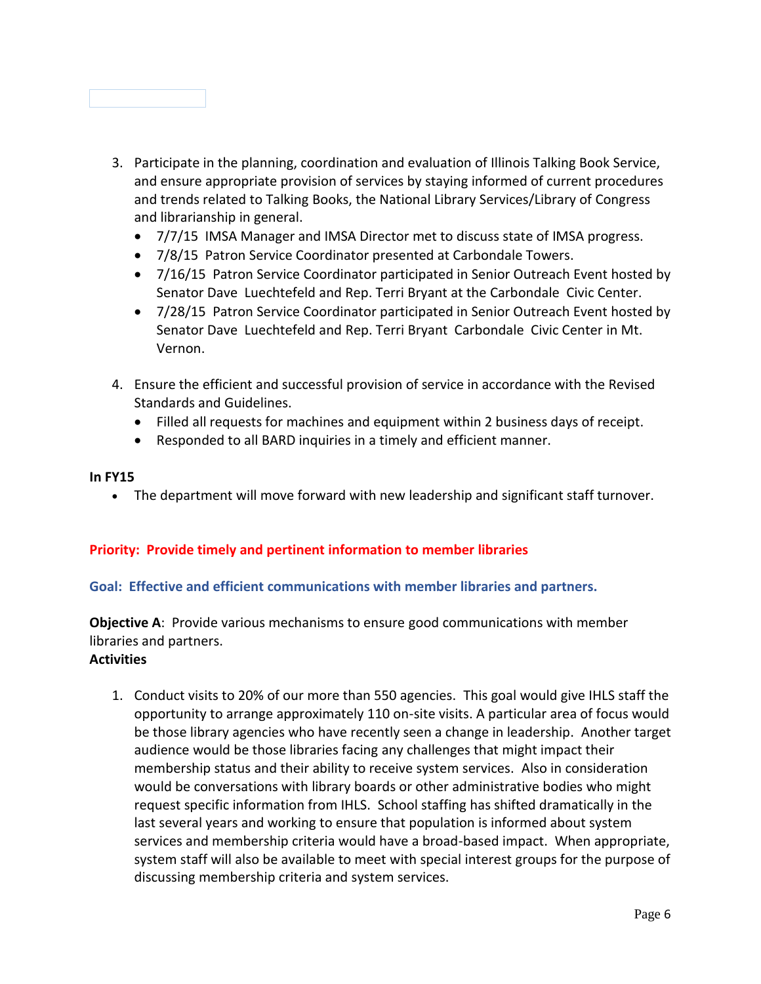

- 3. Participate in the planning, coordination and evaluation of Illinois Talking Book Service, and ensure appropriate provision of services by staying informed of current procedures and trends related to Talking Books, the National Library Services/Library of Congress and librarianship in general.
	- 7/7/15 IMSA Manager and IMSA Director met to discuss state of IMSA progress.
	- 7/8/15 Patron Service Coordinator presented at Carbondale Towers.
	- 7/16/15 Patron Service Coordinator participated in Senior Outreach Event hosted by Senator Dave Luechtefeld and Rep. Terri Bryant at the Carbondale Civic Center.
	- 7/28/15 Patron Service Coordinator participated in Senior Outreach Event hosted by Senator Dave Luechtefeld and Rep. Terri Bryant Carbondale Civic Center in Mt. Vernon.
- 4. Ensure the efficient and successful provision of service in accordance with the Revised Standards and Guidelines.
	- Filled all requests for machines and equipment within 2 business days of receipt.
	- Responded to all BARD inquiries in a timely and efficient manner.

#### **In FY15**

The department will move forward with new leadership and significant staff turnover.

#### **Priority: Provide timely and pertinent information to member libraries**

#### **Goal: Effective and efficient communications with member libraries and partners.**

**Objective A**: Provide various mechanisms to ensure good communications with member libraries and partners.

#### **Activities**

1. Conduct visits to 20% of our more than 550 agencies. This goal would give IHLS staff the opportunity to arrange approximately 110 on-site visits. A particular area of focus would be those library agencies who have recently seen a change in leadership. Another target audience would be those libraries facing any challenges that might impact their membership status and their ability to receive system services. Also in consideration would be conversations with library boards or other administrative bodies who might request specific information from IHLS. School staffing has shifted dramatically in the last several years and working to ensure that population is informed about system services and membership criteria would have a broad-based impact. When appropriate, system staff will also be available to meet with special interest groups for the purpose of discussing membership criteria and system services.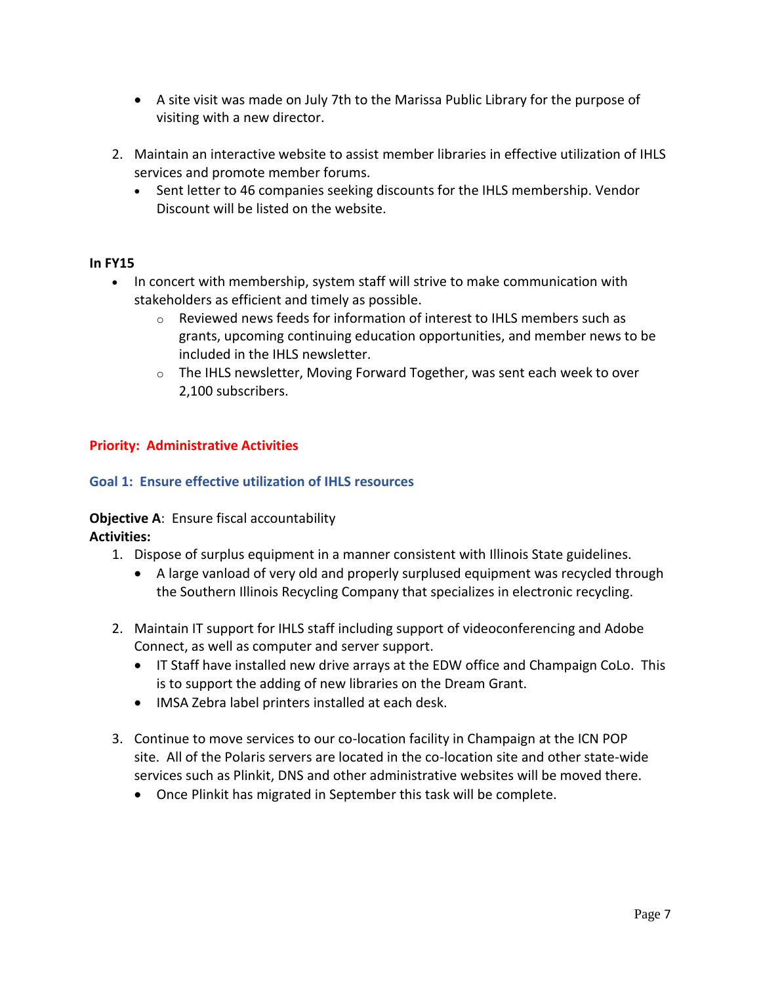- A site visit was made on July 7th to the Marissa Public Library for the purpose of visiting with a new director.
- 2. Maintain an interactive website to assist member libraries in effective utilization of IHLS services and promote member forums.
	- Sent letter to 46 companies seeking discounts for the IHLS membership. Vendor Discount will be listed on the website.

#### **In FY15**

- In concert with membership, system staff will strive to make communication with stakeholders as efficient and timely as possible.
	- $\circ$  Reviewed news feeds for information of interest to IHLS members such as grants, upcoming continuing education opportunities, and member news to be included in the IHLS newsletter.
	- $\circ$  The IHLS newsletter, Moving Forward Together, was sent each week to over 2,100 subscribers.

### **Priority: Administrative Activities**

#### **Goal 1: Ensure effective utilization of IHLS resources**

## **Objective A**: Ensure fiscal accountability

## **Activities:**

- 1. Dispose of surplus equipment in a manner consistent with Illinois State guidelines.
	- A large vanload of very old and properly surplused equipment was recycled through the Southern Illinois Recycling Company that specializes in electronic recycling.
- 2. Maintain IT support for IHLS staff including support of videoconferencing and Adobe Connect, as well as computer and server support.
	- IT Staff have installed new drive arrays at the EDW office and Champaign CoLo. This is to support the adding of new libraries on the Dream Grant.
	- IMSA Zebra label printers installed at each desk.
- 3. Continue to move services to our co-location facility in Champaign at the ICN POP site. All of the Polaris servers are located in the co-location site and other state-wide services such as Plinkit, DNS and other administrative websites will be moved there.
	- Once Plinkit has migrated in September this task will be complete.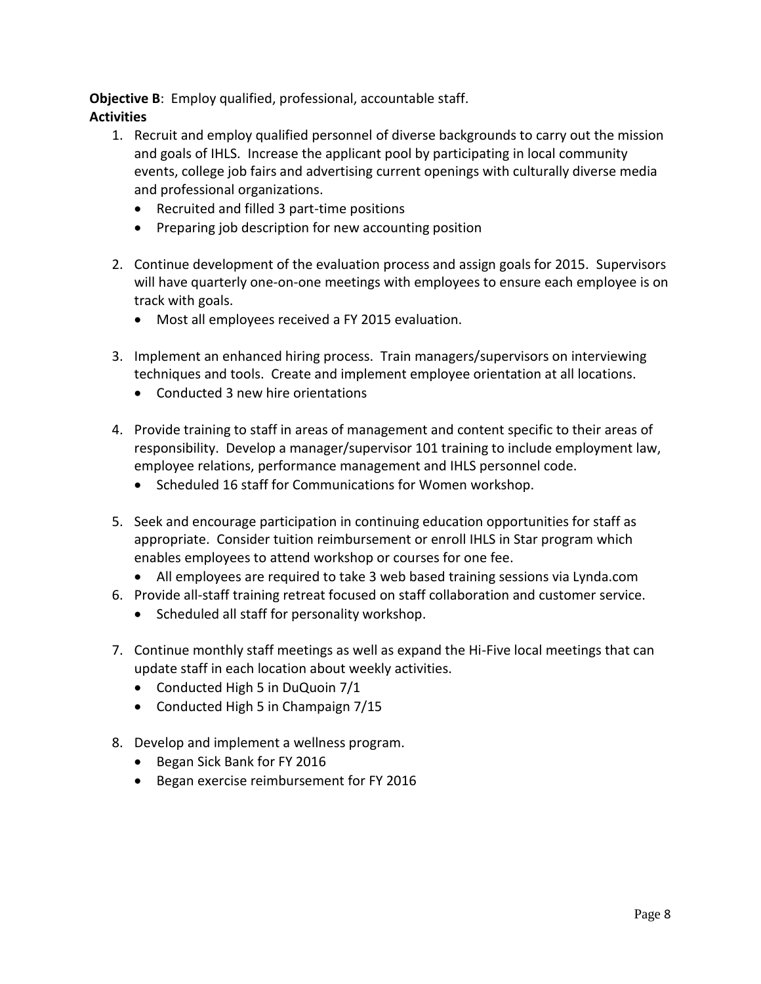**Objective B**: Employ qualified, professional, accountable staff. **Activities**

- 1. Recruit and employ qualified personnel of diverse backgrounds to carry out the mission and goals of IHLS. Increase the applicant pool by participating in local community events, college job fairs and advertising current openings with culturally diverse media and professional organizations.
	- Recruited and filled 3 part-time positions
	- Preparing job description for new accounting position
- 2. Continue development of the evaluation process and assign goals for 2015. Supervisors will have quarterly one-on-one meetings with employees to ensure each employee is on track with goals.
	- Most all employees received a FY 2015 evaluation.
- 3. Implement an enhanced hiring process. Train managers/supervisors on interviewing techniques and tools. Create and implement employee orientation at all locations.
	- Conducted 3 new hire orientations
- 4. Provide training to staff in areas of management and content specific to their areas of responsibility. Develop a manager/supervisor 101 training to include employment law, employee relations, performance management and IHLS personnel code.
	- Scheduled 16 staff for Communications for Women workshop.
- 5. Seek and encourage participation in continuing education opportunities for staff as appropriate. Consider tuition reimbursement or enroll IHLS in Star program which enables employees to attend workshop or courses for one fee.
	- All employees are required to take 3 web based training sessions via Lynda.com
- 6. Provide all-staff training retreat focused on staff collaboration and customer service.
	- Scheduled all staff for personality workshop.
- 7. Continue monthly staff meetings as well as expand the Hi-Five local meetings that can update staff in each location about weekly activities.
	- Conducted High 5 in DuQuoin 7/1
	- Conducted High 5 in Champaign 7/15
- 8. Develop and implement a wellness program.
	- Began Sick Bank for FY 2016
	- Began exercise reimbursement for FY 2016